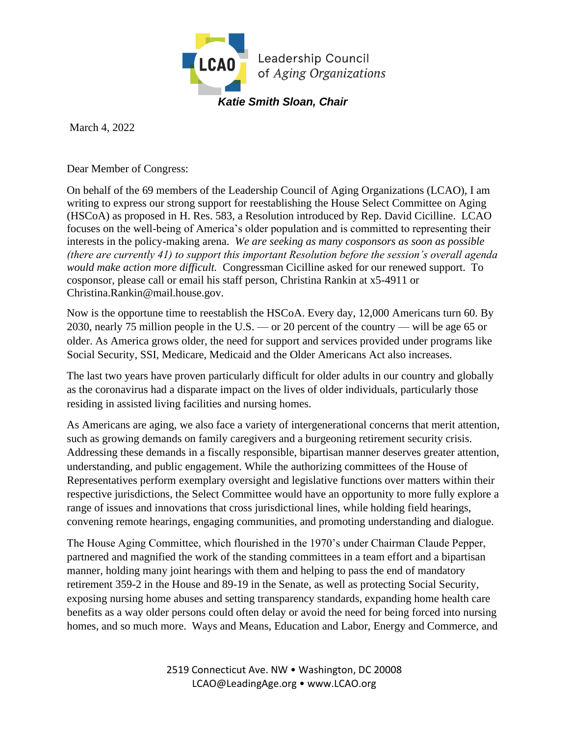

March 4, 2022

Dear Member of Congress:

On behalf of the 69 members of the Leadership Council of Aging Organizations (LCAO), I am writing to express our strong support for reestablishing the House Select Committee on Aging (HSCoA) as proposed in H. Res. 583, a Resolution introduced by Rep. David Cicilline. LCAO focuses on the well-being of America's older population and is committed to representing their interests in the policy-making arena. *We are seeking as many cosponsors as soon as possible (there are currently 41) to support this important Resolution before the session's overall agenda would make action more difficult.* Congressman Cicilline asked for our renewed support. To cosponsor, please call or email his staff person, Christina Rankin at x5-4911 or Christina.Rankin@mail.house.gov.

Now is the opportune time to reestablish the HSCoA. Every day, 12,000 Americans turn 60. By 2030, nearly 75 million people in the U.S. — or 20 percent of the country — will be age 65 or older. As America grows older, the need for support and services provided under programs like Social Security, SSI, Medicare, Medicaid and the Older Americans Act also increases.

The last two years have proven particularly difficult for older adults in our country and globally as the coronavirus had a disparate impact on the lives of older individuals, particularly those residing in assisted living facilities and nursing homes.

As Americans are aging, we also face a variety of intergenerational concerns that merit attention, such as growing demands on family caregivers and a burgeoning retirement security crisis. Addressing these demands in a fiscally responsible, bipartisan manner deserves greater attention, understanding, and public engagement. While the authorizing committees of the House of Representatives perform exemplary oversight and legislative functions over matters within their respective jurisdictions, the Select Committee would have an opportunity to more fully explore a range of issues and innovations that cross jurisdictional lines, while holding field hearings, convening remote hearings, engaging communities, and promoting understanding and dialogue.

The House Aging Committee, which flourished in the 1970's under Chairman Claude Pepper, partnered and magnified the work of the standing committees in a team effort and a bipartisan manner, holding many joint hearings with them and helping to pass the end of mandatory retirement 359-2 in the House and 89-19 in the Senate, as well as protecting Social Security, exposing nursing home abuses and setting transparency standards, expanding home health care benefits as a way older persons could often delay or avoid the need for being forced into nursing homes, and so much more. Ways and Means, Education and Labor, Energy and Commerce, and

> 2519 Connecticut Ave. NW • Washington, DC 20008 LCAO@LeadingAge.org • www.LCAO.org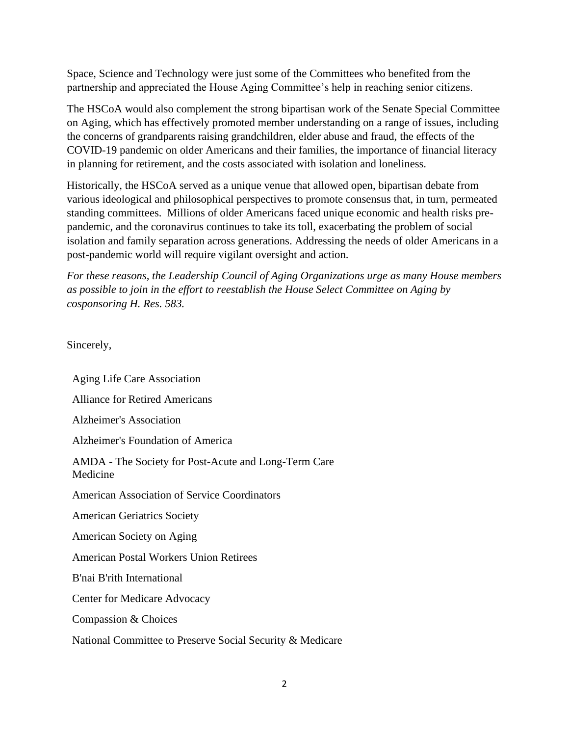Space, Science and Technology were just some of the Committees who benefited from the partnership and appreciated the House Aging Committee's help in reaching senior citizens.

The HSCoA would also complement the strong bipartisan work of the Senate Special Committee on Aging, which has effectively promoted member understanding on a range of issues, including the concerns of grandparents raising grandchildren, elder abuse and fraud, the effects of the COVID-19 pandemic on older Americans and their families, the importance of financial literacy in planning for retirement, and the costs associated with isolation and loneliness.

Historically, the HSCoA served as a unique venue that allowed open, bipartisan debate from various ideological and philosophical perspectives to promote consensus that, in turn, permeated standing committees. Millions of older Americans faced unique economic and health risks prepandemic, and the coronavirus continues to take its toll, exacerbating the problem of social isolation and family separation across generations. Addressing the needs of older Americans in a post-pandemic world will require vigilant oversight and action.

*For these reasons, the Leadership Council of Aging Organizations urge as many House members as possible to join in the effort to reestablish the House Select Committee on Aging by cosponsoring H. Res. 583.*

Sincerely,

Aging Life Care Association Alliance for Retired Americans Alzheimer's Association Alzheimer's Foundation of America AMDA - The Society for Post-Acute and Long-Term Care Medicine American Association of Service Coordinators American Geriatrics Society American Society on Aging American Postal Workers Union Retirees B'nai B'rith International Center for Medicare Advocacy Compassion & Choices National Committee to Preserve Social Security & Medicare